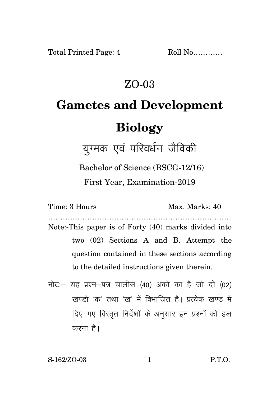## ZO-03

## **Gametes and Development Biology**

युग्मक एवं परिवर्धन जैविकी

Bachelor of Science (BSCG-12/16)

First Year, Examination-2019

Time: 3 Hours Max. Marks: 40

- ………………………………………………………………… Note:-This paper is of Forty (40) marks divided into two (02) Sections A and B. Attempt the question contained in these sections according to the detailed instructions given therein.
- नोट: यह प्रश्न-पत्र चालीस (40) अंकों का है जो दो (02) खण्डों 'क' तथा 'ख' में विभाजित है। प्रत्येक खण्ड में दिए गए विस्तृत निर्देशों के अनुसार इन प्रश्नों को हल करना है।

S-162/ZO-03 1 P.T.O.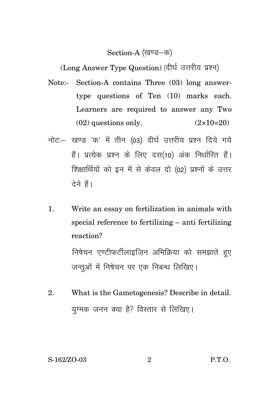## Section-A (खण्ड-क)

(Long Answer Type Question) (दीर्घ उत्तरीय प्रश्न)

- Note:- Section-A contains Three (03) long answertype questions of Ten (10) marks each. Learners are required to answer any Two  $(02)$  questions only.  $(2 \times 10=20)$
- नोट: खण्ड 'क' में तीन (03) दीर्घ उत्तरीय प्रश्न दिये गये हैं। प्रत्येक प्रश्न के लिए दस(10) अंक निर्धारित हैं। शिक्षार्थियों को इन में से केवल दो (02) प्रश्नों के उत्तर देने हैं।
- 1. Write an essay on fertilization in animals with special reference to fertilizing – anti fertilizing reaction?

निषेचन एण्टीफर्टीलाइजिन अभिक्रिया को समझाते हुए जन्तओं में निषेचन पर एक निबन्ध लिखिए।

2. What is the Gametogenesis? Describe in detail. युग्मक जनन क्या है? विस्तार से लिखिए।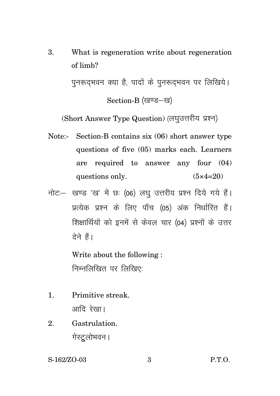3. What is regeneration write about regeneration of limb?

> पुनरूदभवन क्या है, पादों के पुनरूदभवन पर लिखिये। Section-B (खण्ड-ख)

(Short Answer Type Question) (लघुउत्तरीय प्रश्न)

- Note:- Section-B contains six (06) short answer type questions of five (05) marks each. Learners are required to answer any four (04) questions only.  $(5 \times 4=20)$
- नोट: खण्ड 'ख' में छः (06) लघु उत्तरीय प्रश्न दिये गये हैं। प्रत्येक प्रश्न के लिए पाँच (05) अंक निर्धारित हैं। शिक्षार्थियों को इनमें से केवल चार (04) प्रश्नों के उत्तर टेने हैं।

Write about the following : निम्नलिखित पर लिखिए:

- 1. Primitive streak. आदि रेखा।
- 2. Gastrulation. गेस्ट्रलोभवन ।

S-162/ZO-03 3 P.T.O.